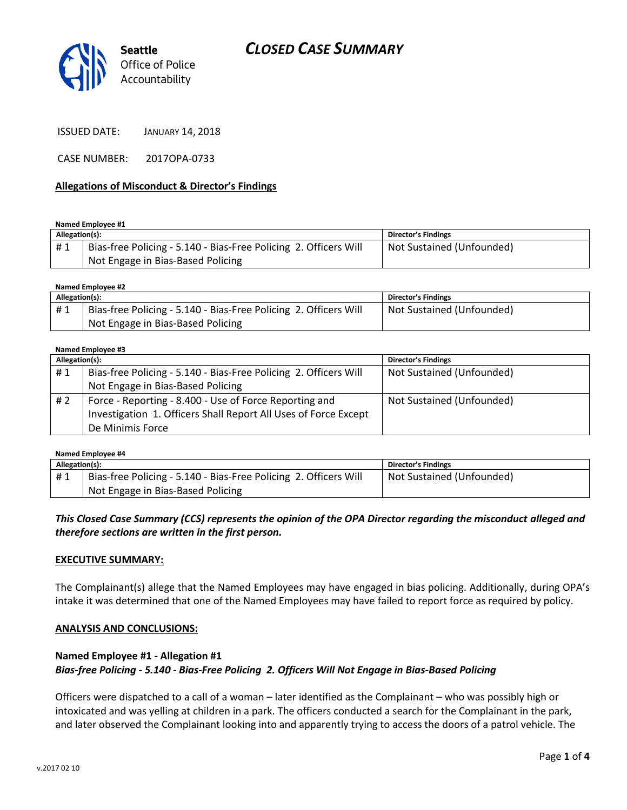



ISSUED DATE: JANUARY 14, 2018

CASE NUMBER: 2017OPA-0733

#### **Allegations of Misconduct & Director's Findings**

**Named Employee #1**

| Allegation(s): |                                                                  | Director's Findings       |
|----------------|------------------------------------------------------------------|---------------------------|
| #1             | Bias-free Policing - 5.140 - Bias-Free Policing 2. Officers Will | Not Sustained (Unfounded) |
|                | Not Engage in Bias-Based Policing                                |                           |

**Named Employee #2**

| Allegation(s): |                                                                  | Director's Findings       |
|----------------|------------------------------------------------------------------|---------------------------|
| #1             | Bias-free Policing - 5.140 - Bias-Free Policing 2. Officers Will | Not Sustained (Unfounded) |
|                | Not Engage in Bias-Based Policing                                |                           |

#### **Named Employee #3**

| Allegation(s): |                                                                  | <b>Director's Findings</b> |
|----------------|------------------------------------------------------------------|----------------------------|
| #1             | Bias-free Policing - 5.140 - Bias-Free Policing 2. Officers Will | Not Sustained (Unfounded)  |
|                | Not Engage in Bias-Based Policing                                |                            |
| # 2            | Force - Reporting - 8.400 - Use of Force Reporting and           | Not Sustained (Unfounded)  |
|                | Investigation 1. Officers Shall Report All Uses of Force Except  |                            |
|                | De Minimis Force                                                 |                            |

| Named Employee #4 |                                                                  |                            |  |  |
|-------------------|------------------------------------------------------------------|----------------------------|--|--|
| Allegation(s):    |                                                                  | <b>Director's Findings</b> |  |  |
| #1                | Bias-free Policing - 5.140 - Bias-Free Policing 2. Officers Will | Not Sustained (Unfounded)  |  |  |
|                   | Not Engage in Bias-Based Policing                                |                            |  |  |

### *This Closed Case Summary (CCS) represents the opinion of the OPA Director regarding the misconduct alleged and therefore sections are written in the first person.*

#### **EXECUTIVE SUMMARY:**

The Complainant(s) allege that the Named Employees may have engaged in bias policing. Additionally, during OPA's intake it was determined that one of the Named Employees may have failed to report force as required by policy.

### **ANALYSIS AND CONCLUSIONS:**

# **Named Employee #1 - Allegation #1** *Bias-free Policing - 5.140 - Bias-Free Policing 2. Officers Will Not Engage in Bias-Based Policing*

Officers were dispatched to a call of a woman – later identified as the Complainant – who was possibly high or intoxicated and was yelling at children in a park. The officers conducted a search for the Complainant in the park, and later observed the Complainant looking into and apparently trying to access the doors of a patrol vehicle. The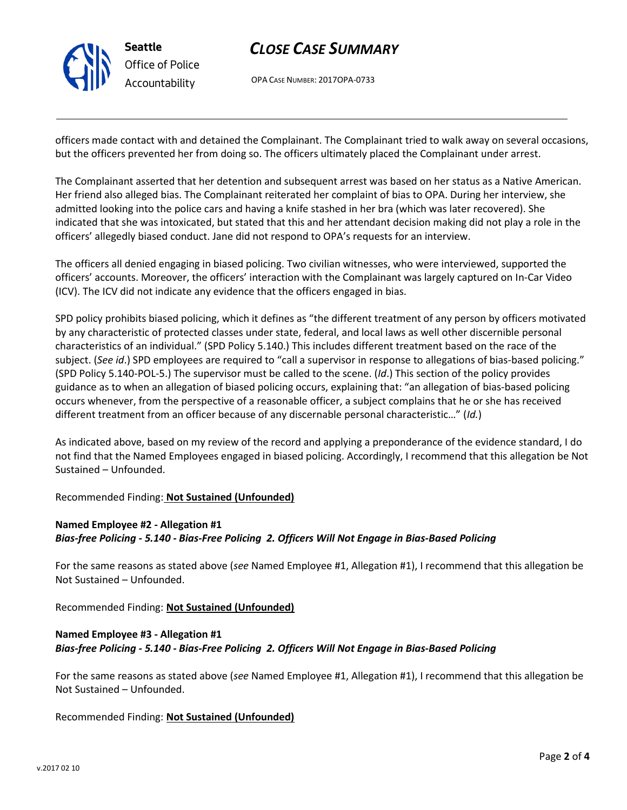

# *CLOSE CASE SUMMARY*

OPA CASE NUMBER: 2017OPA-0733

officers made contact with and detained the Complainant. The Complainant tried to walk away on several occasions, but the officers prevented her from doing so. The officers ultimately placed the Complainant under arrest.

The Complainant asserted that her detention and subsequent arrest was based on her status as a Native American. Her friend also alleged bias. The Complainant reiterated her complaint of bias to OPA. During her interview, she admitted looking into the police cars and having a knife stashed in her bra (which was later recovered). She indicated that she was intoxicated, but stated that this and her attendant decision making did not play a role in the officers' allegedly biased conduct. Jane did not respond to OPA's requests for an interview.

The officers all denied engaging in biased policing. Two civilian witnesses, who were interviewed, supported the officers' accounts. Moreover, the officers' interaction with the Complainant was largely captured on In-Car Video (ICV). The ICV did not indicate any evidence that the officers engaged in bias.

SPD policy prohibits biased policing, which it defines as "the different treatment of any person by officers motivated by any characteristic of protected classes under state, federal, and local laws as well other discernible personal characteristics of an individual." (SPD Policy 5.140.) This includes different treatment based on the race of the subject. (*See id*.) SPD employees are required to "call a supervisor in response to allegations of bias-based policing." (SPD Policy 5.140-POL-5.) The supervisor must be called to the scene. (*Id*.) This section of the policy provides guidance as to when an allegation of biased policing occurs, explaining that: "an allegation of bias-based policing occurs whenever, from the perspective of a reasonable officer, a subject complains that he or she has received different treatment from an officer because of any discernable personal characteristic…" (*Id.*)

As indicated above, based on my review of the record and applying a preponderance of the evidence standard, I do not find that the Named Employees engaged in biased policing. Accordingly, I recommend that this allegation be Not Sustained – Unfounded.

Recommended Finding: **Not Sustained (Unfounded)**

# **Named Employee #2 - Allegation #1**

*Bias-free Policing - 5.140 - Bias-Free Policing 2. Officers Will Not Engage in Bias-Based Policing*

For the same reasons as stated above (*see* Named Employee #1, Allegation #1), I recommend that this allegation be Not Sustained – Unfounded.

Recommended Finding: **Not Sustained (Unfounded)**

# **Named Employee #3 - Allegation #1** *Bias-free Policing - 5.140 - Bias-Free Policing 2. Officers Will Not Engage in Bias-Based Policing*

For the same reasons as stated above (*see* Named Employee #1, Allegation #1), I recommend that this allegation be Not Sustained – Unfounded.

Recommended Finding: **Not Sustained (Unfounded)**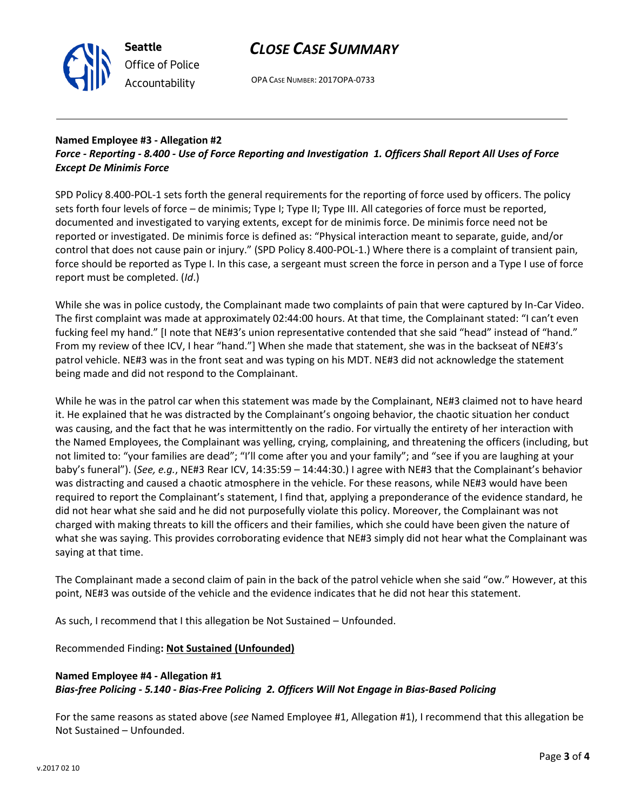

# *CLOSE CASE SUMMARY*

OPA CASE NUMBER: 2017OPA-0733

# **Named Employee #3 - Allegation #2**

# *Force - Reporting - 8.400 - Use of Force Reporting and Investigation 1. Officers Shall Report All Uses of Force Except De Minimis Force*

SPD Policy 8.400-POL-1 sets forth the general requirements for the reporting of force used by officers. The policy sets forth four levels of force – de minimis; Type I; Type II; Type III. All categories of force must be reported, documented and investigated to varying extents, except for de minimis force. De minimis force need not be reported or investigated. De minimis force is defined as: "Physical interaction meant to separate, guide, and/or control that does not cause pain or injury." (SPD Policy 8.400-POL-1.) Where there is a complaint of transient pain, force should be reported as Type I. In this case, a sergeant must screen the force in person and a Type I use of force report must be completed. (*Id*.)

While she was in police custody, the Complainant made two complaints of pain that were captured by In-Car Video. The first complaint was made at approximately 02:44:00 hours. At that time, the Complainant stated: "I can't even fucking feel my hand." [I note that NE#3's union representative contended that she said "head" instead of "hand." From my review of thee ICV, I hear "hand."] When she made that statement, she was in the backseat of NE#3's patrol vehicle. NE#3 was in the front seat and was typing on his MDT. NE#3 did not acknowledge the statement being made and did not respond to the Complainant.

While he was in the patrol car when this statement was made by the Complainant, NE#3 claimed not to have heard it. He explained that he was distracted by the Complainant's ongoing behavior, the chaotic situation her conduct was causing, and the fact that he was intermittently on the radio. For virtually the entirety of her interaction with the Named Employees, the Complainant was yelling, crying, complaining, and threatening the officers (including, but not limited to: "your families are dead"; "I'll come after you and your family"; and "see if you are laughing at your baby's funeral"). (*See, e.g.*, NE#3 Rear ICV, 14:35:59 – 14:44:30.) I agree with NE#3 that the Complainant's behavior was distracting and caused a chaotic atmosphere in the vehicle. For these reasons, while NE#3 would have been required to report the Complainant's statement, I find that, applying a preponderance of the evidence standard, he did not hear what she said and he did not purposefully violate this policy. Moreover, the Complainant was not charged with making threats to kill the officers and their families, which she could have been given the nature of what she was saying. This provides corroborating evidence that NE#3 simply did not hear what the Complainant was saying at that time.

The Complainant made a second claim of pain in the back of the patrol vehicle when she said "ow." However, at this point, NE#3 was outside of the vehicle and the evidence indicates that he did not hear this statement.

As such, I recommend that I this allegation be Not Sustained – Unfounded.

Recommended Finding**: Not Sustained (Unfounded)**

### **Named Employee #4 - Allegation #1** *Bias-free Policing - 5.140 - Bias-Free Policing 2. Officers Will Not Engage in Bias-Based Policing*

For the same reasons as stated above (*see* Named Employee #1, Allegation #1), I recommend that this allegation be Not Sustained – Unfounded.